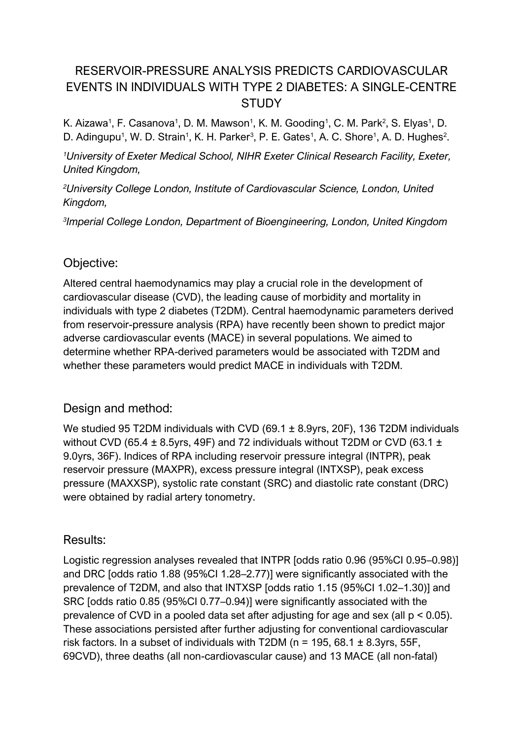# RESERVOIR-PRESSURE ANALYSIS PREDICTS CARDIOVASCULAR EVENTS IN INDIVIDUALS WITH TYPE 2 DIABETES: A SINGLE-CENTRE STUDY

K. Aizawa<sup>1</sup>, F. Casanova<sup>1</sup>, D. M. Mawson<sup>1</sup>, K. M. Gooding<sup>1</sup>, C. M. Park<sup>2</sup>, S. Elyas<sup>1</sup>, D. D. Adingupu<sup>1</sup>, W. D. Strain<sup>1</sup>, K. H. Parker<sup>3</sup>, P. E. Gates<sup>1</sup>, A. C. Shore<sup>1</sup>, A. D. Hughes<sup>2</sup>.

*<sup>1</sup>University of Exeter Medical School, NIHR Exeter Clinical Research Facility, Exeter, United Kingdom,* 

*<sup>2</sup>University College London, Institute of Cardiovascular Science, London, United Kingdom,* 

*3 Imperial College London, Department of Bioengineering, London, United Kingdom*

## Objective:

Altered central haemodynamics may play a crucial role in the development of cardiovascular disease (CVD), the leading cause of morbidity and mortality in individuals with type 2 diabetes (T2DM). Central haemodynamic parameters derived from reservoir-pressure analysis (RPA) have recently been shown to predict major adverse cardiovascular events (MACE) in several populations. We aimed to determine whether RPA-derived parameters would be associated with T2DM and whether these parameters would predict MACE in individuals with T2DM.

# Design and method:

We studied 95 T2DM individuals with CVD (69.1 ± 8.9yrs, 20F), 136 T2DM individuals without CVD (65.4  $\pm$  8.5yrs, 49F) and 72 individuals without T2DM or CVD (63.1  $\pm$ 9.0yrs, 36F). Indices of RPA including reservoir pressure integral (INTPR), peak reservoir pressure (MAXPR), excess pressure integral (INTXSP), peak excess pressure (MAXXSP), systolic rate constant (SRC) and diastolic rate constant (DRC) were obtained by radial artery tonometry.

#### Results:

Logistic regression analyses revealed that INTPR [odds ratio 0.96 (95%CI 0.95–0.98)] and DRC [odds ratio 1.88 (95%CI 1.28–2.77)] were significantly associated with the prevalence of T2DM, and also that INTXSP [odds ratio 1.15 (95%CI 1.02–1.30)] and SRC [odds ratio 0.85 (95%CI 0.77–0.94)] were significantly associated with the prevalence of CVD in a pooled data set after adjusting for age and sex (all  $p < 0.05$ ). These associations persisted after further adjusting for conventional cardiovascular risk factors. In a subset of individuals with T2DM ( $n = 195, 68.1 \pm 8.3$ yrs, 55F, 69CVD), three deaths (all non-cardiovascular cause) and 13 MACE (all non-fatal)